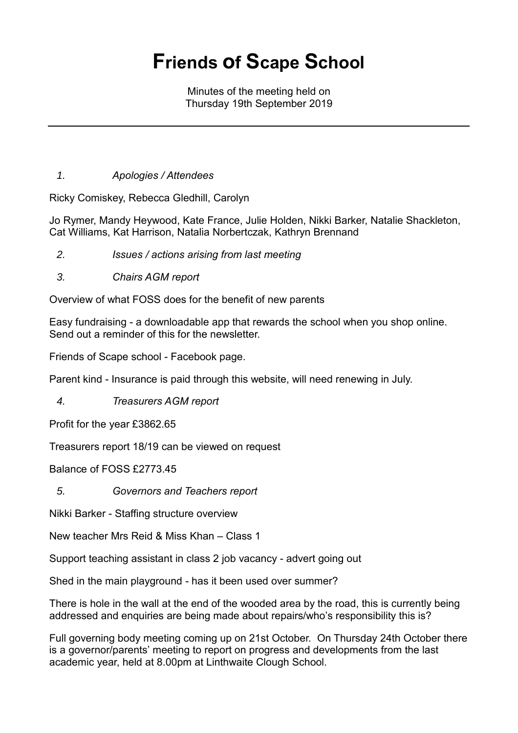## **Friends of Scape School**

Minutes of the meeting held on Thursday 19th September 2019

## *1. Apologies / Attendees*

Ricky Comiskey, Rebecca Gledhill, Carolyn

Jo Rymer, Mandy Heywood, Kate France, Julie Holden, Nikki Barker, Natalie Shackleton, Cat Williams, Kat Harrison, Natalia Norbertczak, Kathryn Brennand

- *2. Issues / actions arising from last meeting*
- *3. Chairs AGM report*

Overview of what FOSS does for the benefit of new parents

Easy fundraising - a downloadable app that rewards the school when you shop online. Send out a reminder of this for the newsletter.

Friends of Scape school - Facebook page.

Parent kind - Insurance is paid through this website, will need renewing in July.

*4. Treasurers AGM report*

Profit for the year £3862.65

Treasurers report 18/19 can be viewed on request

Balance of FOSS £2773.45

*5. Governors and Teachers report*

Nikki Barker - Staffing structure overview

New teacher Mrs Reid & Miss Khan – Class 1

Support teaching assistant in class 2 job vacancy - advert going out

Shed in the main playground - has it been used over summer?

There is hole in the wall at the end of the wooded area by the road, this is currently being addressed and enquiries are being made about repairs/who's responsibility this is?

Full governing body meeting coming up on 21st October. On Thursday 24th October there is a governor/parents' meeting to report on progress and developments from the last academic year, held at 8.00pm at Linthwaite Clough School.